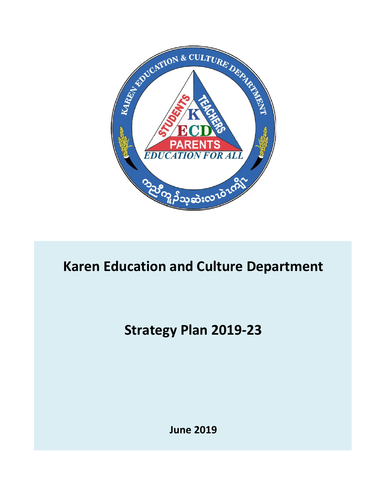

# **Karen Education and Culture Department**

# **Strategy Plan 2019-23**

**June 2019**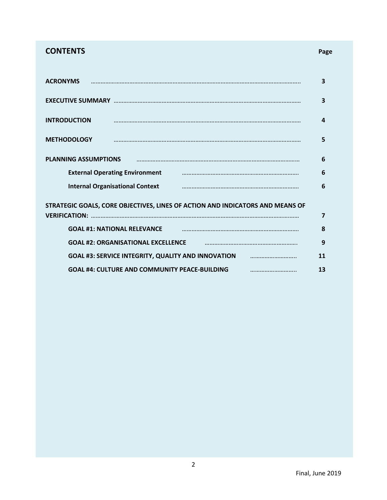# **CONTENTS Page**

|--|--|

| <b>ACRONYMS</b>                                                               |                                                      | 3  |  |  |
|-------------------------------------------------------------------------------|------------------------------------------------------|----|--|--|
|                                                                               |                                                      | 3  |  |  |
| <b>INTRODUCTION</b>                                                           |                                                      | 4  |  |  |
| <b>METHODOLOGY</b>                                                            |                                                      | 5  |  |  |
| <b>PLANNING ASSUMPTIONS</b>                                                   |                                                      | 6  |  |  |
|                                                                               | <b>External Operating Environment</b>                | 6  |  |  |
| <b>Internal Organisational Context</b><br>6                                   |                                                      |    |  |  |
| STRATEGIC GOALS, CORE OBJECTIVES, LINES OF ACTION AND INDICATORS AND MEANS OF |                                                      |    |  |  |
| <b>VERIFICATION:</b>                                                          |                                                      | 7  |  |  |
|                                                                               | <b>GOAL #1: NATIONAL RELEVANCE</b>                   | 8  |  |  |
|                                                                               | <b>GOAL #2: ORGANISATIONAL EXCELLENCE</b>            | 9  |  |  |
| <b>GOAL #3: SERVICE INTEGRITY, QUALITY AND INNOVATION</b><br>11               |                                                      |    |  |  |
|                                                                               | <b>GOAL #4: CULTURE AND COMMUNITY PEACE-BUILDING</b> | 13 |  |  |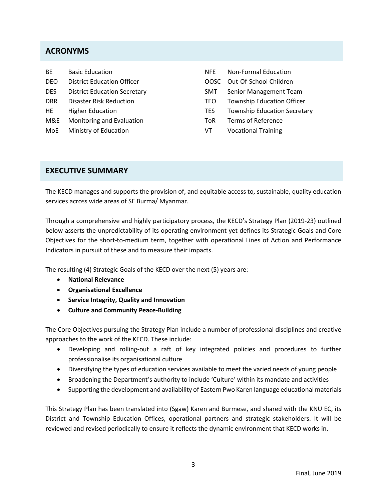## **ACRONYMS**

| <b>BE</b>  | <b>Basic Education</b>              | <b>NFE</b> | <b>Non-Formal Education</b>         |
|------------|-------------------------------------|------------|-------------------------------------|
| DEO        | <b>District Education Officer</b>   | OOSC       | Out-Of-School Children              |
| DES.       | <b>District Education Secretary</b> | SMT.       | Senior Management Team              |
| <b>DRR</b> | <b>Disaster Risk Reduction</b>      | TEO.       | <b>Township Education Officer</b>   |
| HE         | <b>Higher Education</b>             | <b>TES</b> | <b>Township Education Secretary</b> |
| M&E        | Monitoring and Evaluation           | ToR        | Terms of Reference                  |
| MoE        | Ministry of Education               | VT         | <b>Vocational Training</b>          |

## **EXECUTIVE SUMMARY**

The KECD manages and supports the provision of, and equitable access to, sustainable, quality education services across wide areas of SE Burma/ Myanmar.

Through a comprehensive and highly participatory process, the KECD's Strategy Plan (2019-23) outlined below asserts the unpredictability of its operating environment yet defines its Strategic Goals and Core Objectives for the short-to-medium term, together with operational Lines of Action and Performance Indicators in pursuit of these and to measure their impacts.

The resulting (4) Strategic Goals of the KECD over the next (5) years are:

- **National Relevance**
- **Organisational Excellence**
- **Service Integrity, Quality and Innovation**
- **Culture and Community Peace-Building**

The Core Objectives pursuing the Strategy Plan include a number of professional disciplines and creative approaches to the work of the KECD. These include:

- Developing and rolling-out a raft of key integrated policies and procedures to further professionalise its organisational culture
- Diversifying the types of education services available to meet the varied needs of young people
- Broadening the Department's authority to include 'Culture' within its mandate and activities
- Supporting the development and availability of Eastern Pwo Karen language educational materials

This Strategy Plan has been translated into (Sgaw) Karen and Burmese, and shared with the KNU EC, its District and Township Education Offices, operational partners and strategic stakeholders. It will be reviewed and revised periodically to ensure it reflects the dynamic environment that KECD works in.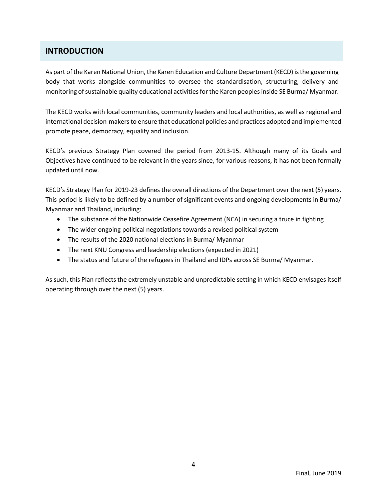## **INTRODUCTION**

As part of the Karen National Union, the Karen Education and Culture Department (KECD) is the governing body that works alongside communities to oversee the standardisation, structuring, delivery and monitoring of sustainable quality educational activities for the Karen peoples inside SE Burma/ Myanmar.

The KECD works with local communities, community leaders and local authorities, as well as regional and international decision-makers to ensure that educational policies and practices adopted and implemented promote peace, democracy, equality and inclusion.

KECD's previous Strategy Plan covered the period from 2013-15. Although many of its Goals and Objectives have continued to be relevant in the years since, for various reasons, it has not been formally updated until now.

KECD's Strategy Plan for 2019-23 defines the overall directions of the Department over the next (5) years. This period is likely to be defined by a number of significant events and ongoing developments in Burma/ Myanmar and Thailand, including:

- The substance of the Nationwide Ceasefire Agreement (NCA) in securing a truce in fighting
- The wider ongoing political negotiations towards a revised political system
- The results of the 2020 national elections in Burma/ Myanmar
- The next KNU Congress and leadership elections (expected in 2021)
- The status and future of the refugees in Thailand and IDPs across SE Burma/ Myanmar.

As such, this Plan reflects the extremely unstable and unpredictable setting in which KECD envisages itself operating through over the next (5) years.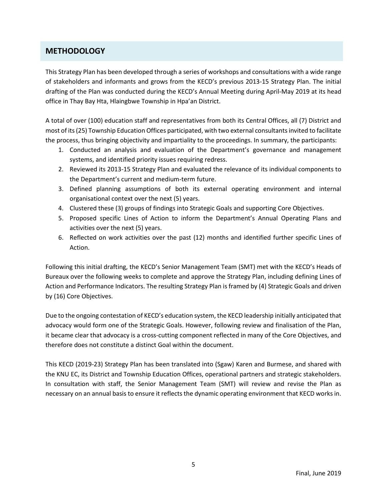## **METHODOLOGY**

This Strategy Plan has been developed through a series of workshops and consultations with a wide range of stakeholders and informants and grows from the KECD's previous 2013-15 Strategy Plan. The initial drafting of the Plan was conducted during the KECD's Annual Meeting during April-May 2019 at its head office in Thay Bay Hta, Hlaingbwe Township in Hpa'an District.

A total of over (100) education staff and representatives from both its Central Offices, all (7) District and most of its (25) Township Education Offices participated, with two external consultants invited to facilitate the process, thus bringing objectivity and impartiality to the proceedings. In summary, the participants:

- 1. Conducted an analysis and evaluation of the Department's governance and management systems, and identified priority issues requiring redress.
- 2. Reviewed its 2013-15 Strategy Plan and evaluated the relevance of its individual components to the Department's current and medium-term future.
- 3. Defined planning assumptions of both its external operating environment and internal organisational context over the next (5) years.
- 4. Clustered these (3) groups of findings into Strategic Goals and supporting Core Objectives.
- 5. Proposed specific Lines of Action to inform the Department's Annual Operating Plans and activities over the next (5) years.
- 6. Reflected on work activities over the past (12) months and identified further specific Lines of Action.

Following this initial drafting, the KECD's Senior Management Team (SMT) met with the KECD's Heads of Bureaux over the following weeks to complete and approve the Strategy Plan, including defining Lines of Action and Performance Indicators. The resulting Strategy Plan is framed by (4) Strategic Goals and driven by (16) Core Objectives.

Due to the ongoing contestation of KECD's education system, the KECD leadership initially anticipated that advocacy would form one of the Strategic Goals. However, following review and finalisation of the Plan, it became clear that advocacy is a cross-cutting component reflected in many of the Core Objectives, and therefore does not constitute a distinct Goal within the document.

This KECD (2019-23) Strategy Plan has been translated into (Sgaw) Karen and Burmese, and shared with the KNU EC, its District and Township Education Offices, operational partners and strategic stakeholders. In consultation with staff, the Senior Management Team (SMT) will review and revise the Plan as necessary on an annual basis to ensure it reflects the dynamic operating environment that KECD works in.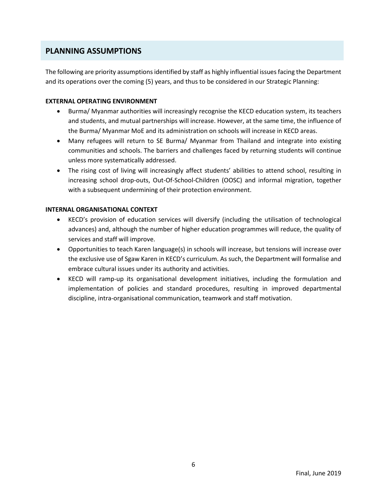## **PLANNING ASSUMPTIONS**

The following are priority assumptions identified by staff as highly influential issues facing the Department and its operations over the coming (5) years, and thus to be considered in our Strategic Planning:

### **EXTERNAL OPERATING ENVIRONMENT**

- Burma/ Myanmar authorities will increasingly recognise the KECD education system, its teachers and students, and mutual partnerships will increase. However, at the same time, the influence of the Burma/ Myanmar MoE and its administration on schools will increase in KECD areas.
- Many refugees will return to SE Burma/ Myanmar from Thailand and integrate into existing communities and schools. The barriers and challenges faced by returning students will continue unless more systematically addressed.
- The rising cost of living will increasingly affect students' abilities to attend school, resulting in increasing school drop-outs, Out-Of-School-Children (OOSC) and informal migration, together with a subsequent undermining of their protection environment.

#### **INTERNAL ORGANISATIONAL CONTEXT**

- KECD's provision of education services will diversify (including the utilisation of technological advances) and, although the number of higher education programmes will reduce, the quality of services and staff will improve.
- Opportunities to teach Karen language(s) in schools will increase, but tensions will increase over the exclusive use of Sgaw Karen in KECD's curriculum. As such, the Department will formalise and embrace cultural issues under its authority and activities.
- KECD will ramp-up its organisational development initiatives, including the formulation and implementation of policies and standard procedures, resulting in improved departmental discipline, intra-organisational communication, teamwork and staff motivation.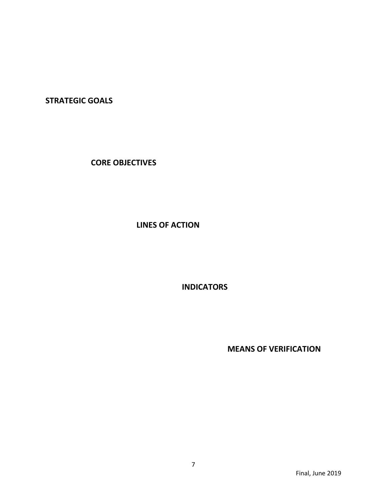**STRATEGIC GOALS**

**CORE OBJECTIVES**

**LINES OF ACTION**

**INDICATORS**

**MEANS OF VERIFICATION**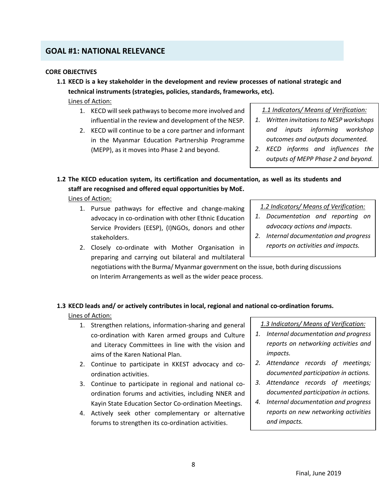## **GOAL #1: NATIONAL RELEVANCE**

### **CORE OBJECTIVES**

**1.1 KECD is a key stakeholder in the development and review processes of national strategic and technical instruments (strategies, policies, standards, frameworks, etc).**

Lines of Action:

- 1. KECD will seek pathways to become more involved and influential in the review and development of the NESP.
- 2. KECD will continue to be a core partner and informant in the Myanmar Education Partnership Programme (MEPP), as it moves into Phase 2 and beyond.

*1.1 Indicators/ Means of Verification:*

- *1. Written invitationsto NESP workshops and inputs informing workshop outcomes and outputs documented.*
- *2. KECD informs and influences the outputs of MEPP Phase 2 and beyond.*

**1.2 The KECD education system, its certification and documentation, as well as its students and staff are recognised and offered equal opportunities by MoE.**

Lines of Action:

1. Pursue pathways for effective and change-making advocacy in co-ordination with other Ethnic Education Service Providers (EESP), (I)NGOs, donors and other stakeholders.

*1.2 Indicators/ Means of Verification:*

- *1. Documentation and reporting on advocacy actions and impacts.*
- *2. Internal documentation and progress reports on activities and impacts.*
- 2. Closely co-ordinate with Mother Organisation in preparing and carrying out bilateral and multilateral

negotiations with the Burma/ Myanmar government on the issue, both during discussions on Interim Arrangements as well as the wider peace process.

## **1.3 KECD leads and/ or actively contributes in local, regional and national co-ordination forums.**

Lines of Action:

- 1. Strengthen relations, information-sharing and general co-ordination with Karen armed groups and Culture and Literacy Committees in line with the vision and aims of the Karen National Plan.
- 2. Continue to participate in KKEST advocacy and coordination activities.
- 3. Continue to participate in regional and national coordination forums and activities, including NNER and Kayin State Education Sector Co-ordination Meetings.
- 4. Actively seek other complementary or alternative forums to strengthen its co-ordination activities.

*1.3 Indicators/ Means of Verification:*

- *1. Internal documentation and progress reports on networking activities and impacts.*
- *2. Attendance records of meetings; documented participation in actions.*
- *3. Attendance records of meetings; documented participation in actions.*
- *4. Internal documentation and progress reports on new networking activities and impacts.*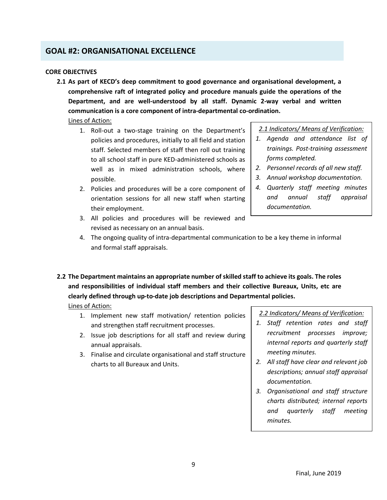## **GOAL #2: ORGANISATIONAL EXCELLENCE**

#### **CORE OBJECTIVES**

**2.1 As part of KECD's deep commitment to good governance and organisational development, a comprehensive raft of integrated policy and procedure manuals guide the operations of the Department, and are well-understood by all staff. Dynamic 2-way verbal and written communication is a core component of intra-departmental co-ordination.**

## Lines of Action:

- 1. Roll-out a two-stage training on the Department's policies and procedures, initially to all field and station staff. Selected members of staff then roll out training to all school staff in pure KED-administered schools as well as in mixed administration schools, where possible.
- 2. Policies and procedures will be a core component of orientation sessions for all new staff when starting their employment.
- 3. All policies and procedures will be reviewed and revised as necessary on an annual basis.

#### *2.1 Indicators/ Means of Verification:*

- *1. Agenda and attendance list of trainings. Post-training assessment forms completed.*
- *2. Personnel records of all new staff.*
- *3. Annual workshop documentation.*
- *4. Quarterly staff meeting minutes and annual staff appraisal documentation.*
- 4. The ongoing quality of intra-departmental communication to be a key theme in informal and formal staff appraisals.
- **2.2 The Department maintains an appropriate number of skilled staff to achieve its goals. The roles and responsibilities of individual staff members and their collective Bureaux, Units, etc are clearly defined through up-to-date job descriptions and Departmental policies.**

### Lines of Action:

- 1. Implement new staff motivation/ retention policies and strengthen staff recruitment processes.
- 2. Issue job descriptions for all staff and review during annual appraisals.
- 3. Finalise and circulate organisational and staff structure charts to all Bureaux and Units.

*2.2 Indicators/ Means of Verification:*

- *1. Staff retention rates and staff recruitment processes improve; internal reports and quarterly staff meeting minutes.*
- *2. All staff have clear and relevant job descriptions; annual staff appraisal documentation.*
- *3. Organisational and staff structure charts distributed; internal reports and quarterly staff meeting minutes.*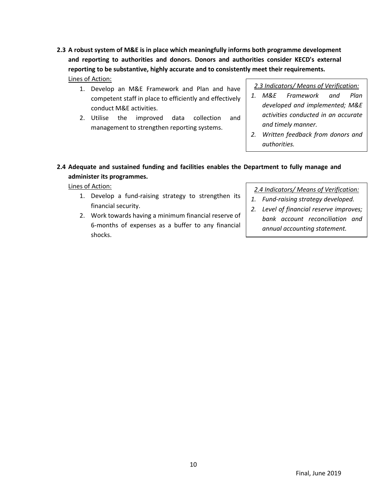- **2.3 A robust system of M&E is in place which meaningfully informs both programme development and reporting to authorities and donors. Donors and authorities consider KECD's external reporting to be substantive, highly accurate and to consistently meet their requirements.** Lines of Action:
	- 1. Develop an M&E Framework and Plan and have competent staff in place to efficiently and effectively conduct M&E activities.
	- 2. Utilise the improved data collection and management to strengthen reporting systems.

*2.3 Indicators/ Means of Verification:*

- *1. M&E Framework and Plan developed and implemented; M&E activities conducted in an accurate and timely manner.*
- *2. Written feedback from donors and authorities.*

## **2.4 Adequate and sustained funding and facilities enables the Department to fully manage and administer its programmes.**

Lines of Action:

- 1. Develop a fund-raising strategy to strengthen its financial security.
- 2. Work towards having a minimum financial reserve of 6-months of expenses as a buffer to any financial shocks.

*2.4 Indicators/ Means of Verification:*

- *1. Fund-raising strategy developed.*
- *2. Level of financial reserve improves; bank account reconciliation and annual accounting statement.*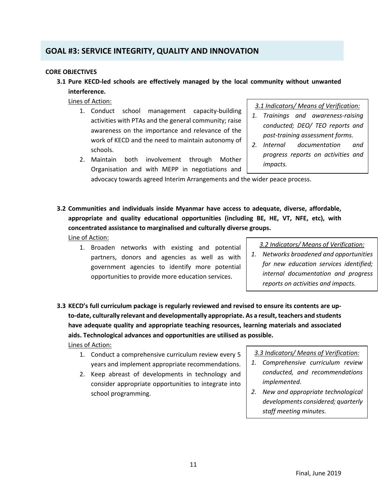# **GOAL #3: SERVICE INTEGRITY, QUALITY AND INNOVATION**

### **CORE OBJECTIVES**

**3.1 Pure KECD-led schools are effectively managed by the local community without unwanted interference.**

Lines of Action:

- 1. Conduct school management capacity-building activities with PTAs and the general community; raise awareness on the importance and relevance of the work of KECD and the need to maintain autonomy of schools.
- 2. Maintain both involvement through Mother Organisation and with MEPP in negotiations and

*3.1 Indicators/ Means of Verification:*

- *1. Trainings and awareness-raising conducted; DEO/ TEO reports and post-training assessment forms.*
- *2. Internal documentation and progress reports on activities and impacts.*

advocacy towards agreed Interim Arrangements and the wider peace process.

- **3.2 Communities and individuals inside Myanmar have access to adequate, diverse, affordable, appropriate and quality educational opportunities (including BE, HE, VT, NFE, etc), with concentrated assistance to marginalised and culturally diverse groups.**
	- Line of Action:
		- 1. Broaden networks with existing and potential partners, donors and agencies as well as with government agencies to identify more potential opportunities to provide more education services.

*3.2 Indicators/ Means of Verification:*

- *1. Networks broadened and opportunities for new education services identified; internal documentation and progress reports on activities and impacts.*
- **3.3 KECD's full curriculum package is regularly reviewed and revised to ensure its contents are upto-date, culturally relevant and developmentally appropriate. As a result, teachers and students have adequate quality and appropriate teaching resources, learning materials and associated aids. Technological advances and opportunities are utilised as possible.** Lines of Action:
	- 1. Conduct a comprehensive curriculum review every 5 years and implement appropriate recommendations.
	- 2. Keep abreast of developments in technology and consider appropriate opportunities to integrate into school programming.
- *3.3 Indicators/ Means of Verification:*
- *1. Comprehensive curriculum review conducted, and recommendations implemented.*
- *2. New and appropriate technological developments considered; quarterly staff meeting minutes.*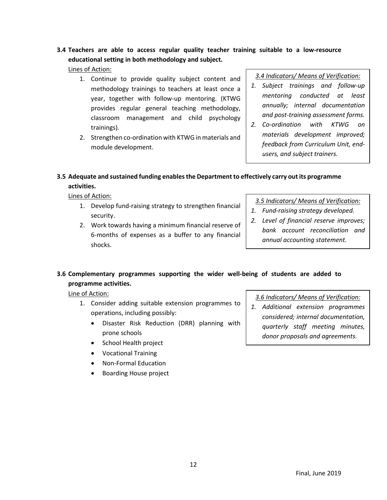# **3.4 Teachers are able to access regular quality teacher training suitable to a low-resource educational setting in both methodology and subject.**

Lines of Action:

- 1. Continue to provide quality subject content and methodology trainings to teachers at least once a year, together with follow-up mentoring. (KTWG provides regular general teaching methodology, classroom management and child psychology trainings).
- 2. Strengthen co-ordination with KTWG in materials and module development.

*3.4 Indicators/ Means of Verification:*

- *1. Subject trainings and follow-up mentoring conducted at least annually; internal documentation and post-training assessment forms.*
- *2. Co-ordination with KTWG on materials development improved; feedback from Curriculum Unit, endusers, and subject trainers.*
- **3.5 Adequate and sustained funding enables the Department to effectively carry out its programme activities.**

Lines of Action:

- 1. Develop fund-raising strategy to strengthen financial security.
- 2. Work towards having a minimum financial reserve of 6-months of expenses as a buffer to any financial shocks.

*3.5 Indicators/ Means of Verification:*

- *1. Fund-raising strategy developed.*
- *2. Level of financial reserve improves; bank account reconciliation and annual accounting statement.*

## **3.6 Complementary programmes supporting the wider well-being of students are added to programme activities.**

Line of Action:

- 1. Consider adding suitable extension programmes to operations, including possibly:
	- Disaster Risk Reduction (DRR) planning with prone schools
	- School Health project
	- Vocational Training
	- Non-Formal Education
	- Boarding House project

## *3.6 Indicators/ Means of Verification:*

*1. Additional extension programmes considered; internal documentation, quarterly staff meeting minutes, donor proposals and agreements.*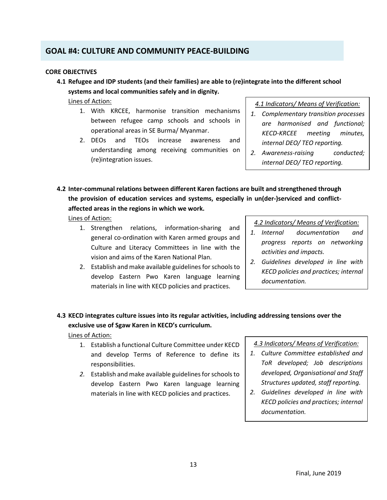# **GOAL #4: CULTURE AND COMMUNITY PEACE-BUILDING**

### **CORE OBJECTIVES**

**4.1 Refugee and IDP students (and their families) are able to (re)integrate into the different school systems and local communities safely and in dignity.**

Lines of Action:

- 1. With KRCEE, harmonise transition mechanisms between refugee camp schools and schools in operational areas in SE Burma/ Myanmar.
- 2. DEOs and TEOs increase awareness and understanding among receiving communities on (re)integration issues.

*4.1 Indicators/ Means of Verification:*

- *1. Complementary transition processes are harmonised and functional; KECD-KRCEE meeting minutes, internal DEO/ TEO reporting.*
- *2. Awareness-raising conducted; internal DEO/ TEO reporting.*
- **4.2 Inter-communal relations between different Karen factions are built and strengthened through the provision of education services and systems, especially in un(der-)serviced and conflictaffected areas in the regions in which we work.**

Lines of Action:

- 1. Strengthen relations, information-sharing and general co-ordination with Karen armed groups and Culture and Literacy Committees in line with the vision and aims of the Karen National Plan.
- 2. Establish and make available guidelines for schools to develop Eastern Pwo Karen language learning materials in line with KECD policies and practices.

*4.2 Indicators/ Means of Verification:*

- *1. Internal documentation and progress reports on networking activities and impacts.*
- *2. Guidelines developed in line with KECD policies and practices; internal documentation.*
- **4.3 KECD integrates culture issues into its regular activities, including addressing tensions over the exclusive use of Sgaw Karen in KECD's curriculum.**

Lines of Action:

- 1. Establish a functional Culture Committee under KECD and develop Terms of Reference to define its responsibilities.
- *2.* Establish and make available guidelines for schools to develop Eastern Pwo Karen language learning materials in line with KECD policies and practices.

*4.3 Indicators/ Means of Verification:*

- *1. Culture Committee established and ToR developed; Job descriptions developed, Organisational and Staff Structures updated, staff reporting.*
- *2. Guidelines developed in line with KECD policies and practices; internal documentation.*